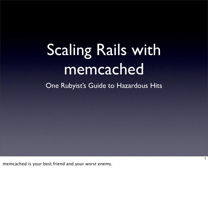# Scaling Rails with memcached

One Rubyist's Guide to Hazardous Hits

1

memcached is your best friend and your worst enemy.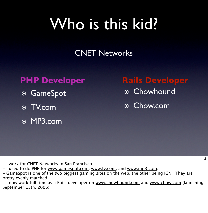# Who is this kid?

#### CNET Networks

- ๏ GameSpot
- ๏ TV.com
- ๏ MP3.com

#### **PHP Developer Rails Developer**

- ๏ Chowhound
- ๏ Chow.com

- I work for CNET Networks in San Francisco.
- I used to do PHP for www.gamespot.com, www.tv.com, and www.mp3.com.
- GameSpot is one of the two biggest gaming sites on the web, the other being IGN. They are pretty evenly matched.

- I now work full time as a Rails developer on www.chowhound.com and www.chow.com (launching September 15th, 2006).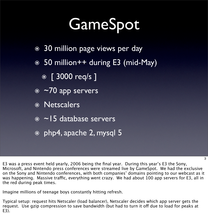# GameSpot

- ๏ 30 million page views per day
- ๏ 50 million++ during E3 (mid-May)
	- **◎** [ 3000 req/s ]
- ๏ ~70 app servers
- ๏ Netscalers
- ๏ ~15 database servers
- ๏ php4, apache 2, mysql 5

E3 was a press event held yearly, 2006 being the final year. During this year's E3 the Sony, Microsoft, and Nintendo press conferences were streamed live by GameSpot. We had the exclusive on the Sony and Nintendo conferences, with both companies' domains pointing to our webcast as it was happening. Massive traffic, everything went crazy. We had about 100 app servers for E3, all in the red during peak times.

3

Imagine millions of teenage boys constantly hitting refresh.

Typical setup: request hits Netscaler (load balancer), Netscaler decides which app server gets the request. Use gzip compression to save bandwidth (but had to turn it off due to load for peaks at E3).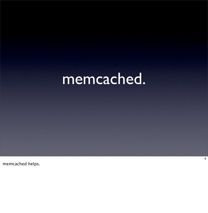## memcached.

memcached helps.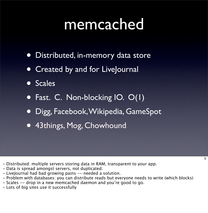#### memcached

- Distributed, in-memory data store
- Created by and for LiveJournal
- **Scales**
- Fast. C. Non-blocking IO. O(1)
- Digg, Facebook,Wikipedia, GameSpot
- 43things, Mog, Chowhound

- Distributed: multiple servers storing data in RAM, transparent to your app.
- Data is spread amongst servers, not duplicated.
- LiveJournal had bad growing pains -- needed a solution.
- Problem with databases: you can distribute reads but everyone needs to write (which blocks)

5

- Scales -- drop in a new memcached daemon and you're good to go.
- Lots of big sites use it successfully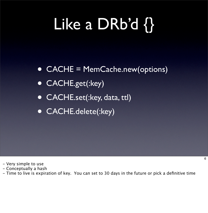# Like a DRb'd {}

- CACHE = MemCache.new(options)
- CACHE.get(:key)
- CACHE.set(:key, data, ttl)
- CACHE.delete(:key)

- Very simple to use
- Conceptually a hash
- Time to live is expiration of key. You can set to 30 days in the future or pick a definitive time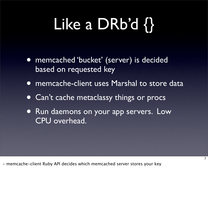# Like a DRb'd {}

- memcached 'bucket' (server) is decided based on requested key
- memcache-client uses Marshal to store data
- Can't cache metaclassy things or procs
- **Run daemons on your app servers. Low** CPU overhead.

7

- memcache-client Ruby API decides which memcached server stores your key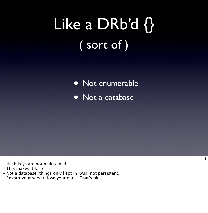# Like a DRb'd {} ( sort of )

Not enumerable

• Not a database

- Hash keys are not maintained
- This makes it faster
- Not a database: things only kept in RAM, not persistent.
- Restart your server, lose your data. That's ok.

8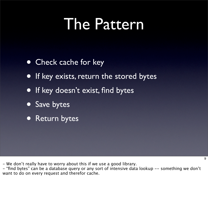### The Pattern

- Check cache for key
- If key exists, return the stored bytes
- If key doesn't exist, find bytes
- Save bytes
- Return bytes

- We don't really have to worry about this if we use a good library.

- "find bytes" can be a database query or any sort of intensive data lookup -- something we don't want to do on every request and therefor cache.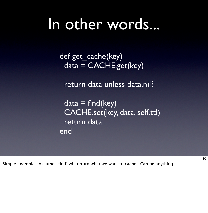### In other words...

 def get\_cache(key)  $data = CACHE.get(key)$ 

return data unless data.nil?

 $data = find(key)$  CACHE.set(key, data, self.ttl) return data end

Simple example. Assume `find' will return what we want to cache. Can be anything.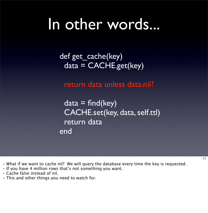### In other words...

 def get\_cache(key)  $data = CACHE.get(key)$ 

return data unless data.nil?

 $data = find(key)$  CACHE.set(key, data, self.ttl) return data end

- What if we want to cache nil? We will query the database every time the key is requested.

- If you have 4 million rows that's not something you want.
- Cache false instead of nil.
- This and other things you need to watch for.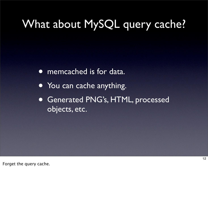#### What about MySQL query cache?

• memcached is for data.

- You can cache anything.
- Generated PNG's, HTML, processed objects, etc.

Forget the query cache.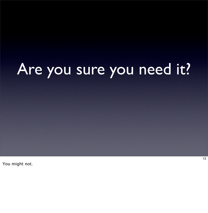# Are you sure you need it?

You might not.

13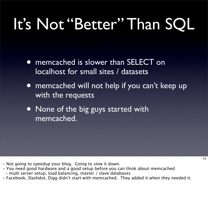# It's Not "Better" Than SQL

- memcached is slower than SELECT on localhost for small sites / datasets
- memcached will not help if you can't keep up with the requests
- None of the big guys started with memcached.

- Not going to speedup your blog. Going to slow it down.
- You need good hardware and a good setup before you can think about memcached - multi server setup, load balancing, master / slave databases
- Facebook, Slashdot, Digg didn't start with memcached. They added it when they needed it.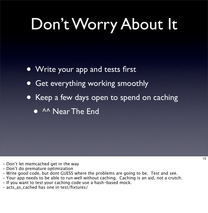# Don't Worry About It

- Write your app and tests first
- Get everything working smoothly
- Keep a few days open to spend on caching
	- **AA Near The End**

- Don't let memcached get in the way
- Don't do premature optimization
- Write good code, but dont GUESS where the problems are going to be. Test and see.
- Your app needs to be able to run well without caching. Caching is an aid, not a crutch.
- If you want to test your caching code use a hash-based mock.
- acts\_as\_cached has one in test/fixtures/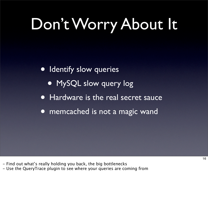# Don't Worry About It

• Identify slow queries

- MySQL slow query log
- Hardware is the real secret sauce
- memcached is not a magic wand

- Find out what's really holding you back, the big bottlenecks

- Use the QueryTrace plugin to see where your queries are coming from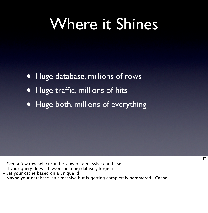## Where it Shines

- Huge database, millions of rows
- Huge traffic, millions of hits
- Huge both, millions of everything

- Even a few row select can be slow on a massive database
- If your query does a filesort on a big dataset, forget it
- Set your cache based on a unique id
- Maybe your database isn't massive but is getting completely hammered. Cache.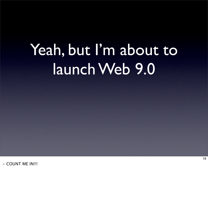# Yeah, but I'm about to launch Web 9.0

- COUNT ME IN!!!

18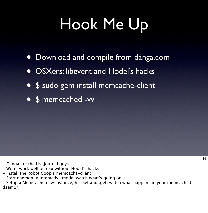# Hook Me Up

- Download and compile from danga.com
- OSXers: libevent and Hodel's hacks
- \$ sudo gem install memcache-client
- \$ memcached -vv

- Danga are the LiveJournal guys
- Won't work well on osx without Hodel's hacks
- Install the Robot Coop's memcache-client
- Start daemon in interactive mode, watch what's going on.

- Setup a MemCache.new instance, hit .set and .get, watch what happens in your memcached daemon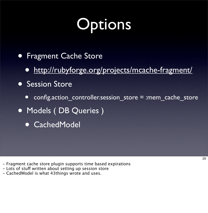# **Options**

- Fragment Cache Store
	- <http://rubyforge.org/projects/mcache-fragment/>
- **Session Store** 
	- config.action controller.session store = :mem cache store
- Models ( DB Queries )
	- CachedModel

- Fragment cache store plugin supports time based expirations

- Lots of stuff written about setting up session store
- CachedModel is what 43things wrote and uses.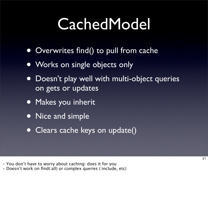# **CachedModel**

- Overwrites find() to pull from cache
- Works on single objects only
- Doesn't play well with multi-object queries on gets or updates
- Makes you inherit
- Nice and simple
- Clears cache keys on update()

- You don't have to worry about caching: does it for you

- Doesn't work on find(:all) or complex queries (:include, etc)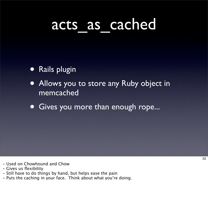### acts as cached

- Rails plugin
- Allows you to store any Ruby object in memcached
- Gives you more than enough rope...

- Used on Chowhound and Chow
- Gives us flexibility
- Still have to do things by hand, but helps ease the pain
- Puts the caching in your face. Think about what you're doing.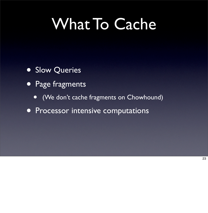# What To Cache

- **Slow Queries**
- Page fragments
	- (We don't cache fragments on Chowhound)
- **Processor intensive computations**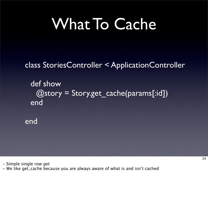# What To Cache

#### class StoriesController < ApplicationController

def show  $@story = Story.get\_cache(params[:id])$ end

end

- Simple single row get - We like get\_cache because you are always aware of what is and isn't cached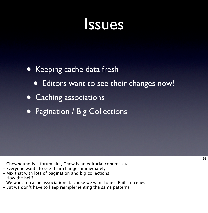#### Issues

#### • Keeping cache data fresh

- Editors want to see their changes now!
- Caching associations
- Pagination / Big Collections

- Chowhound is a forum site, Chow is an editorial content site
- Everyone wants to see their changes immediately
- Mix that with lots of pagination and big collections
- How the hell?
- We want to cache associations because we want to use Rails' niceness
- But we don't have to keep reimplementing the same patterns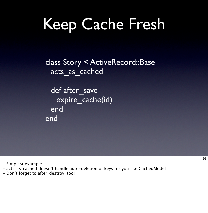# Keep Cache Fresh

class Story < ActiveRecord::Base acts\_as\_cached

def after\_save expire\_cache(id) end end

- Simplest example.

- acts\_as\_cached doesn't handle auto-deletion of keys for you like CachedModel

- Don't forget to after\_destroy, too!

26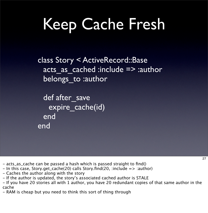# Keep Cache Fresh

class Story < ActiveRecord::Base acts as cached :include => :author belongs to :author

def after save expire\_cache(id) end end

- acts\_as\_cache can be passed a hash which is passed straight to find()
- $-$  In this case, Story.get\_cache(20) calls Story.find(20, :include  $\Rightarrow$  :author)
- Caches the author along with the story
- If the author is updated, the story's associated cached author is STALE
- If you have 20 stories all with 1 author, you have 20 redundant copies of that same author in the cache
- RAM is cheap but you need to think this sort of thing through

27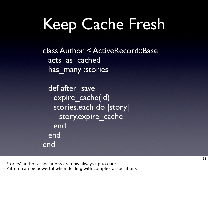# Keep Cache Fresh

class Author < ActiveRecord::Base acts as cached has many :stories

def after save expire cache(id) stories.each do |story| story.expire\_cache end end end

- Stories' author associations are now always up to date

- Pattern can be powerful when dealing with complex associations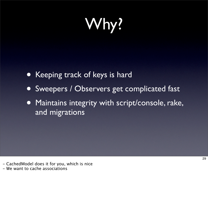Why?

- Keeping track of keys is hard
- Sweepers / Observers get complicated fast
- Maintains integrity with script/console, rake, and migrations

- CachedModel does it for you, which is nice

- We want to cache associations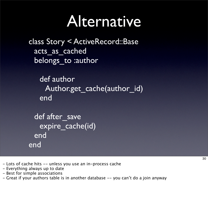### Alternative

class Story < ActiveRecord::Base acts\_as\_cached belongs to :author

def author Author.get cache(author id) end

```
def after save
   expire cache(id)
 end
end
```
30

- Lots of cache hits -- unless you use an in-process cache
- Everything always up to date
- Best for simple associations
- Great if your authors table is in another database -- you can't do a join anyway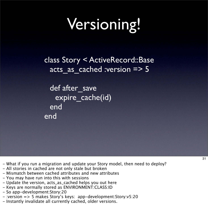# Versioning!

class Story < ActiveRecord::Base acts as cached :version => 5

def after\_save expire\_cache(id) end end

- What if you run a migration and update your Story model, then need to deploy?
- All stories in cached are not only stale but broken
- Mismatch between cached attributes and new attributes
- You may have run into this with sessions
- Update the version, acts\_as\_cached helps you out here
- Keys are normally stored as ENVIRONMENT:CLASS:ID
- So app-development:Story:20
- :version => 5 makes Story's keys: app-development:Story:v5:20
- Instantly invalidate all currently cached, older versions.

31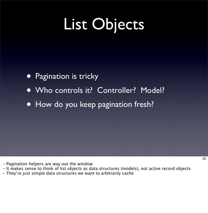# List Objects

- Pagination is tricky
- Who controls it? Controller? Model?
- How do you keep pagination fresh?

- Pagination helpers are way out the window
- It makes sense to think of list objects as data structures (models), not active record objects
- They're just simple data structures we want to arbitrarily cache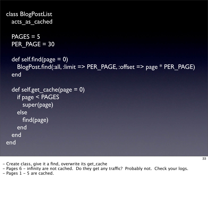```
class BlogPostList
  acts as cached
```
 $PAGES = 5$ PER PAGE = 30

```
def self.find(page = 0)
  BlogPost.find(:all, :limit => PER_PAGE, :offset => page * PER_PAGE)
end
```

```
\overline{\text{def}} self.get_cache(page = 0)
    if page < PAGES
       super(page)
     else
       find(page)
     end
  end
end
```
- Create class, give it a find, overwrite its get\_cache

- Pages 6 - infinity are not cached. Do they get any traffic? Probably not. Check your logs.

 $-$  Pages 1 – 5 are cached.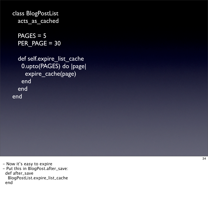```
class BlogPostList
 acts_as_cached
```
 $PAGES = 5$ PER\_PAGE = 30

```
def self.expire_list_cache
    0.upto(PAGES) do |page|
     expire_cache(page)
    end
  end
end
```
- Now it's easy to expire

- Put this in BlogPost.after\_save: def after\_save

 BlogPostList.expire\_list\_cache end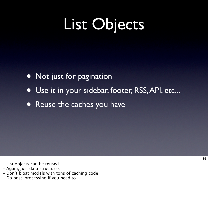# List Objects

- Not just for pagination
- Use it in your sidebar, footer, RSS,API, etc...
- Reuse the caches you have

- List objects can be reused
- Again, just data structures
- Don't bloat models with tons of caching code
- Do post-processing if you need to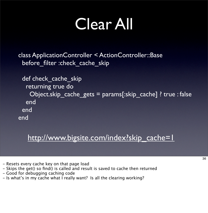# Clear All

 class ApplicationController < ActionController::Base before filter :check cache skip

```
def check cache skip
   returning true do
     Object.skip_cache_gets = params[:skip_cache] ? true : false
   end
  end
 end
```
#### [http://www.bigsite.com/index?skip\\_cache=1](http://www.bigsite.com/index?skip_cache)

- Resets every cache key on that page load
- Skips the get() so find() is called and result is saved to cache then returned
- Good for debugging caching code
- Is what's in my cache what I really want? Is all the clearing working?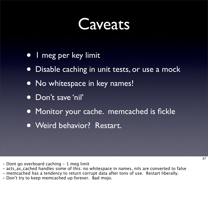#### Caveats

- 1 meg per key limit
- Disable caching in unit tests, or use a mock
- No whitespace in key names!
- Don't save 'nil'
- Monitor your cache. memcached is fickle
- Weird behavior? Restart.

- Dont go overboard caching 1 meg limit
- acts\_as\_cached handles some of this: no whitespace in names, nils are converted to false
- memcached has a tendency to return corrupt data after tons of use. Restart liberally.
- Don't try to keep memcached up forever. Bad mojo.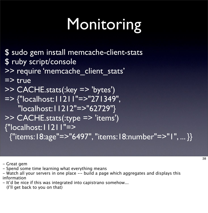# Monitoring

\$ sudo gem install memcache-client-stats \$ ruby script/console

>> require 'memcache client stats'

#### $\Rightarrow$  true

- >> CACHE.stats(:key => 'bytes')
- => {"localhost:11211"=>"271349", "localhost:11212"=>"62729"}
- >> CACHE.stats(:type => 'items')

{"localhost:11211"=>

{"items:18:age"=>"6497", "items:18:number"=>"1", ... }}

- Great gem

- Spend some time learning what everything means
- Watch all your servers in one place -- build a page which aggregates and displays this information
- It'd be nice if this was integrated into capistrano somehow...
	- (I'll get back to you on that)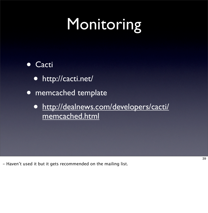# Monitoring

#### • Cacti

- http://cacti.net/
- memcached template
	- [http://dealnews.com/developers/cacti/](http://dealnews.com/developers/cacti/memcached.html) [memcached.html](http://dealnews.com/developers/cacti/memcached.html)

- Haven't used it but it gets recommended on the mailing list.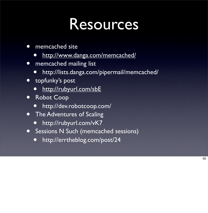### Resources

- memcached site
	- <http://www.danga.com/memcached/>
- memcached mailing list
	- http://lists.danga.com/pipermail/memcached/
- topfunky's post
	- <http://rubyurl.com/sbE>
- Robot Coop
	- http://dev.robotcoop.com/
- **The Adventures of Scaling** 
	- http://rubyurl.com/vK7
- Sessions N Such (memcached sessions)
	- http://errtheblog.com/post/24